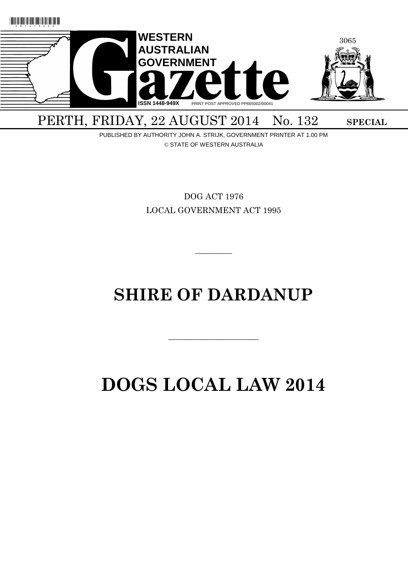

PERTH, FRIDAY, 22 AUGUST 2014 No. 132 SPECIAL

PUBLISHED BY AUTHORITY JOHN A. STRIJK, GOVERNMENT PRINTER AT 1.00 PM © STATE OF WESTERN AUSTRALIA

> DOG ACT 1976 LOCAL GOVERNMENT ACT 1995

# **SHIRE OF DARDANUP**

 $\overline{\phantom{a}}$  , and the contract of the contract of the contract of the contract of the contract of the contract of the contract of the contract of the contract of the contract of the contract of the contract of the contrac

 $\overline{\phantom{a}}$ 

# **DOGS LOCAL LAW 2014**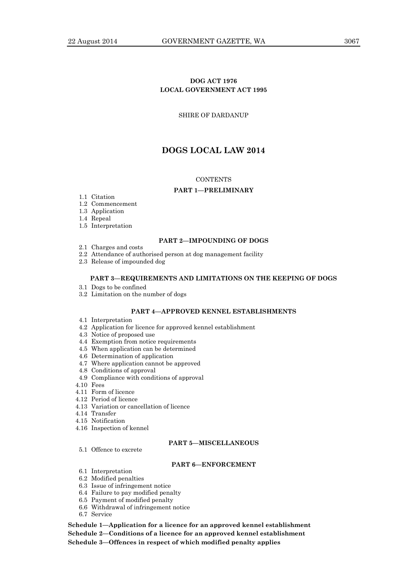# **DOG ACT 1976 LOCAL GOVERNMENT ACT 1995**

## SHIRE OF DARDANUP

# **DOGS LOCAL LAW 2014**

## **CONTENTS**

#### **PART 1—PRELIMINARY**

- 1.1 Citation
- 1.2 Commencement
- 1.3 Application
- 1.4 Repeal
- 1.5 Interpretation

## **PART 2—IMPOUNDING OF DOGS**

- 2.1 Charges and costs
- 2.2 Attendance of authorised person at dog management facility
- 2.3 Release of impounded dog

#### **PART 3—REQUIREMENTS AND LIMITATIONS ON THE KEEPING OF DOGS**

- 3.1 Dogs to be confined
- 3.2 Limitation on the number of dogs

## **PART 4—APPROVED KENNEL ESTABLISHMENTS**

- 4.1 Interpretation
- 4.2 Application for licence for approved kennel establishment
- 4.3 Notice of proposed use
- 4.4 Exemption from notice requirements
- 4.5 When application can be determined
- 4.6 Determination of application
- 4.7 Where application cannot be approved
- 4.8 Conditions of approval
- 4.9 Compliance with conditions of approval
- 4.10 Fees
- 4.11 Form of licence
- 4.12 Period of licence
- 4.13 Variation or cancellation of licence
- 4.14 Transfer
- 4.15 Notification
- 4.16 Inspection of kennel

5.1 Offence to excrete

#### **PART 5—MISCELLANEOUS**

## **PART 6—ENFORCEMENT**

- 6.1 Interpretation
- 6.2 Modified penalties
- 6.3 Issue of infringement notice
- 6.4 Failure to pay modified penalty
- 6.5 Payment of modified penalty
- 6.6 Withdrawal of infringement notice
- 6.7 Service

**Schedule 1—Application for a licence for an approved kennel establishment Schedule 2—Conditions of a licence for an approved kennel establishment Schedule 3—Offences in respect of which modified penalty applies**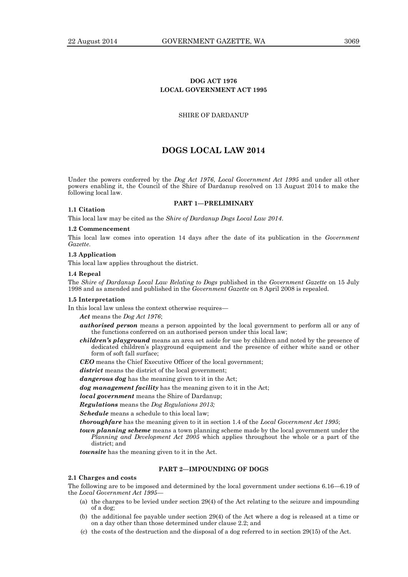# **DOG ACT 1976 LOCAL GOVERNMENT ACT 1995**

## SHIRE OF DARDANUP

# **DOGS LOCAL LAW 2014**

Under the powers conferred by the *Dog Act 1976*, *Local Government Act 1995* and under all other powers enabling it, the Council of the Shire of Dardanup resolved on 13 August 2014 to make the following local law.

#### **PART 1—PRELIMINARY**

#### **1.1 Citation**

This local law may be cited as the *Shire of Dardanup Dogs Local Law 2014*.

## **1.2 Commencement**

This local law comes into operation 14 days after the date of its publication in the *Government Gazette*.

## **1.3 Application**

This local law applies throughout the district.

#### **1.4 Repeal**

The *Shire of Dardanup Local Law Relating to Dogs* published in the *Government Gazette* on 15 July 1998 and as amended and published in the *Government Gazette* on 8 April 2008 is repealed.

#### **1.5 Interpretation**

In this local law unless the context otherwise requires—

*Act* means the *Dog Act 1976*;

- *authorised person* means a person appointed by the local government to perform all or any of the functions conferred on an authorised person under this local law;
- *children's playground* means an area set aside for use by children and noted by the presence of dedicated children's playground equipment and the presence of either white sand or other form of soft fall surface;

*CEO* means the Chief Executive Officer of the local government;

*district* means the district of the local government;

*dangerous dog* has the meaning given to it in the Act;

*dog management facility* has the meaning given to it in the Act;

*local government* means the Shire of Dardanup;

*Regulations* means the *Dog Regulations 2013;*

*Schedule* means a schedule to this local law;

*thoroughfare* has the meaning given to it in section 1.4 of the *Local Government Act 1995*;

*town planning scheme* means a town planning scheme made by the local government under the *Planning and Development Act 2005* which applies throughout the whole or a part of the district; and

*townsite* has the meaning given to it in the Act.

#### **PART 2—IMPOUNDING OF DOGS**

#### **2.1 Charges and costs**

The following are to be imposed and determined by the local government under sections 6.16—6.19 of the *Local Government Act 1995*—

- (a) the charges to be levied under section 29(4) of the Act relating to the seizure and impounding of a dog;
- (b) the additional fee payable under section 29(4) of the Act where a dog is released at a time or on a day other than those determined under clause 2.2; and
- (c) the costs of the destruction and the disposal of a dog referred to in section 29(15) of the Act.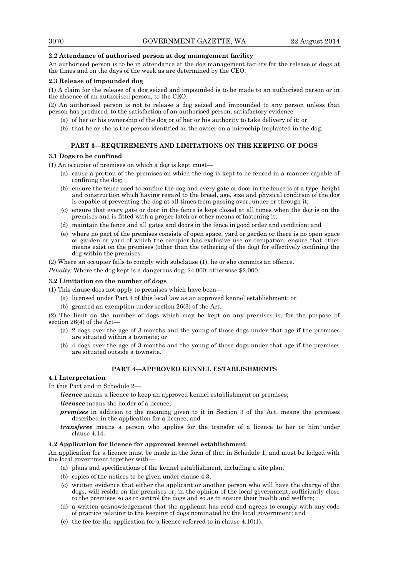#### **2.2 Attendance of authorised person at dog management facility**

An authorised person is to be in attendance at the dog management facility for the release of dogs at the times and on the days of the week as are determined by the CEO.

#### **2.3 Release of impounded dog**

(1) A claim for the release of a dog seized and impounded is to be made to an authorised person or in the absence of an authorised person, to the CEO.

(2) An authorised person is not to release a dog seized and impounded to any person unless that person has produced, to the satisfaction of an authorised person, satisfactory evidence—

- (a) of her or his ownership of the dog or of her or his authority to take delivery of it; or
- (b) that he or she is the person identified as the owner on a microchip implanted in the dog.

#### **PART 3—REQUIREMENTS AND LIMITATIONS ON THE KEEPING OF DOGS**

## **3.1 Dogs to be confined**

(1) An occupier of premises on which a dog is kept must—

- (a) cause a portion of the premises on which the dog is kept to be fenced in a manner capable of confining the dog;
- (b) ensure the fence used to confine the dog and every gate or door in the fence is of a type, height and construction which having regard to the breed, age, size and physical condition of the dog is capable of preventing the dog at all times from passing over, under or through it;
- (c) ensure that every gate or door in the fence is kept closed at all times when the dog is on the premises and is fitted with a proper latch or other means of fastening it;
- (d) maintain the fence and all gates and doors in the fence in good order and condition; and
- (e) where no part of the premises consists of open space, yard or garden or there is no open space or garden or yard of which the occupier has exclusive use or occupation, ensure that other means exist on the premises (other than the tethering of the dog) for effectively confining the dog within the premises.

(2) Where an occupier fails to comply with subclause (1), he or she commits an offence.

*Penalty:* Where the dog kept is a dangerous dog, \$4,000; otherwise \$2,000.

## **3.2 Limitation on the number of dogs**

(1) This clause does not apply to premises which have been—

- (a) licensed under Part 4 of this local law as an approved kennel establishment; or
- (b) granted an exemption under section 26(3) of the Act.

(2) The limit on the number of dogs which may be kept on any premises is, for the purpose of section 26(4) of the Act—

- (a) 2 dogs over the age of 3 months and the young of those dogs under that age if the premises are situated within a townsite; or
- (b) 4 dogs over the age of 3 months and the young of those dogs under that age if the premises are situated outside a townsite.

## **PART 4—APPROVED KENNEL ESTABLISHMENTS**

## **4.1 Interpretation**

In this Part and in Schedule 2—

*licence* means a licence to keep an approved kennel establishment on premises; *licensee* means the holder of a licence;

- *premises* in addition to the meaning given to it in Section 3 of the Act, means the premises described in the application for a licence; and
- *transferee* means a person who applies for the transfer of a licence to her or him under clause 4.14.

#### **4.2 Application for licence for approved kennel establishment**

An application for a licence must be made in the form of that in Schedule 1, and must be lodged with the local government together with—

- (a) plans and specifications of the kennel establishment, including a site plan;
- (b) copies of the notices to be given under clause 4.3;
- (c) written evidence that either the applicant or another person who will have the charge of the dogs, will reside on the premises or, in the opinion of the local government, sufficiently close to the premises so as to control the dogs and so as to ensure their health and welfare;
- (d) a written acknowledgement that the applicant has read and agrees to comply with any code of practice relating to the keeping of dogs nominated by the local government; and
- (e) the fee for the application for a licence referred to in clause 4.10(1).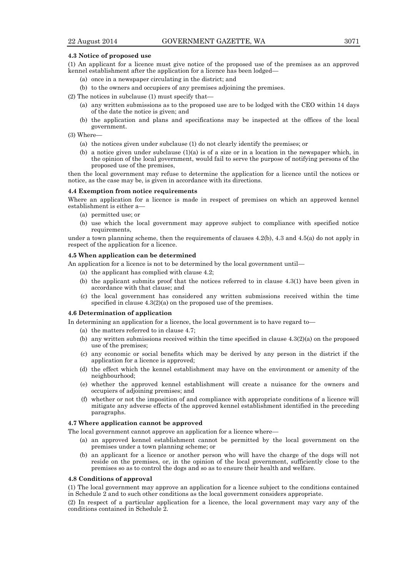#### **4.3 Notice of proposed use**

- (1) An applicant for a licence must give notice of the proposed use of the premises as an approved kennel establishment after the application for a licence has been lodged—
	- (a) once in a newspaper circulating in the district; and
	- (b) to the owners and occupiers of any premises adjoining the premises.
- (2) The notices in subclause (1) must specify that—
	- (a) any written submissions as to the proposed use are to be lodged with the CEO within 14 days of the date the notice is given; and
	- (b) the application and plans and specifications may be inspected at the offices of the local government.
- (3) Where—
	- (a) the notices given under subclause (1) do not clearly identify the premises; or
	- (b) a notice given under subclause  $(1)(a)$  is of a size or in a location in the newspaper which, in the opinion of the local government, would fail to serve the purpose of notifying persons of the proposed use of the premises,

then the local government may refuse to determine the application for a licence until the notices or notice, as the case may be, is given in accordance with its directions.

#### **4.4 Exemption from notice requirements**

Where an application for a licence is made in respect of premises on which an approved kennel establishment is either a—

- (a) permitted use; or
- (b) use which the local government may approve subject to compliance with specified notice requirements.

under a town planning scheme, then the requirements of clauses 4.2(b), 4.3 and 4.5(a) do not apply in respect of the application for a licence.

#### **4.5 When application can be determined**

An application for a licence is not to be determined by the local government until—

- (a) the applicant has complied with clause 4.2;
- (b) the applicant submits proof that the notices referred to in clause 4.3(1) have been given in accordance with that clause; and
- (c) the local government has considered any written submissions received within the time specified in clause 4.3(2)(a) on the proposed use of the premises.

#### **4.6 Determination of application**

In determining an application for a licence, the local government is to have regard to—

- (a) the matters referred to in clause 4.7;
- (b) any written submissions received within the time specified in clause 4.3(2)(a) on the proposed use of the premises;
- (c) any economic or social benefits which may be derived by any person in the district if the application for a licence is approved;
- (d) the effect which the kennel establishment may have on the environment or amenity of the neighbourhood;
- (e) whether the approved kennel establishment will create a nuisance for the owners and occupiers of adjoining premises; and
- (f) whether or not the imposition of and compliance with appropriate conditions of a licence will mitigate any adverse effects of the approved kennel establishment identified in the preceding paragraphs.

## **4.7 Where application cannot be approved**

The local government cannot approve an application for a licence where—

- (a) an approved kennel establishment cannot be permitted by the local government on the premises under a town planning scheme; or
- (b) an applicant for a licence or another person who will have the charge of the dogs will not reside on the premises, or, in the opinion of the local government, sufficiently close to the premises so as to control the dogs and so as to ensure their health and welfare.

#### **4.8 Conditions of approval**

(1) The local government may approve an application for a licence subject to the conditions contained in Schedule 2 and to such other conditions as the local government considers appropriate.

(2) In respect of a particular application for a licence, the local government may vary any of the conditions contained in Schedule 2.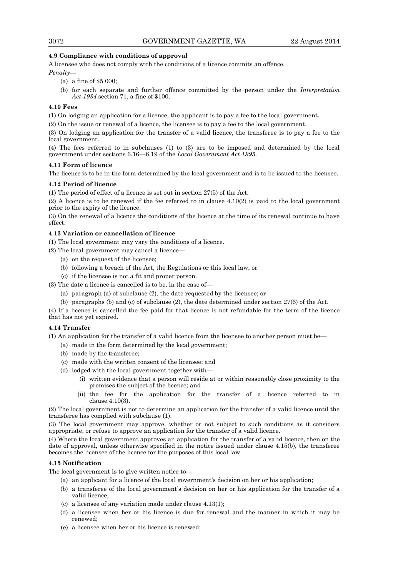## **4.9 Compliance with conditions of approval**

A licensee who does not comply with the conditions of a licence commits an offence.

*Penalty—*

- (a) a fine of \$5 000;
- (b) for each separate and further offence committed by the person under the *Interpretation Act 1984* section 71, a fine of \$100.

## **4.10 Fees**

(1) On lodging an application for a licence, the applicant is to pay a fee to the local government.

(2) On the issue or renewal of a licence, the licensee is to pay a fee to the local government.

(3) On lodging an application for the transfer of a valid licence, the transferee is to pay a fee to the local government.

(4) The fees referred to in subclauses (1) to (3) are to be imposed and determined by the local government under sections 6.16—6.19 of the *Local Government Act 1995*.

## **4.11 Form of licence**

The licence is to be in the form determined by the local government and is to be issued to the licensee.

## **4.12 Period of licence**

(1) The period of effect of a licence is set out in section 27(5) of the Act.

(2) A licence is to be renewed if the fee referred to in clause 4.10(2) is paid to the local government prior to the expiry of the licence.

(3) On the renewal of a licence the conditions of the licence at the time of its renewal continue to have effect.

## **4.13 Variation or cancellation of licence**

(1) The local government may vary the conditions of a licence.

- (2) The local government may cancel a licence—
	- (a) on the request of the licensee;
	- (b) following a breach of the Act, the Regulations or this local law; or
	- (c) if the licensee is not a fit and proper person.
- (3) The date a licence is cancelled is to be, in the case of—
	- (a) paragraph (a) of subclause (2), the date requested by the licensee; or
	- (b) paragraphs (b) and (c) of subclause (2), the date determined under section 27(6) of the Act.

(4) If a licence is cancelled the fee paid for that licence is not refundable for the term of the licence that has not yet expired.

## **4.14 Transfer**

(1) An application for the transfer of a valid licence from the licensee to another person must be—

- (a) made in the form determined by the local government;
- (b) made by the transferee;
- (c) made with the written consent of the licensee; and
- (d) lodged with the local government together with—
	- (i) written evidence that a person will reside at or within reasonably close proximity to the premises the subject of the licence; and
	- (ii) the fee for the application for the transfer of a licence referred to in clause 4.10(3).

(2) The local government is not to determine an application for the transfer of a valid licence until the transferee has complied with subclause (1).

(3) The local government may approve, whether or not subject to such conditions as it considers appropriate, or refuse to approve an application for the transfer of a valid licence.

(4) Where the local government approves an application for the transfer of a valid licence, then on the date of approval, unless otherwise specified in the notice issued under clause 4.15(b), the transferee becomes the licensee of the licence for the purposes of this local law.

## **4.15 Notification**

The local government is to give written notice to—

- (a) an applicant for a licence of the local government's decision on her or his application;
- (b) a transferee of the local government's decision on her or his application for the transfer of a valid licence;
- (c) a licensee of any variation made under clause 4.13(1);
- (d) a licensee when her or his licence is due for renewal and the manner in which it may be renewed;
- (e) a licensee when her or his licence is renewed;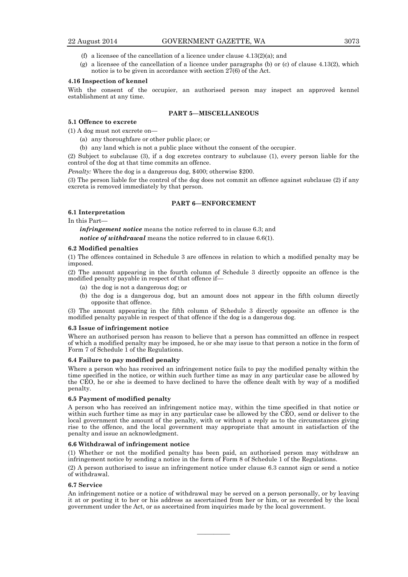- (f) a licensee of the cancellation of a licence under clause  $4.13(2)(a)$ ; and
- (g) a licensee of the cancellation of a licence under paragraphs (b) or (c) of clause 4.13(2), which notice is to be given in accordance with section  $27(6)$  of the Act.

#### **4.16 Inspection of kennel**

With the consent of the occupier, an authorised person may inspect an approved kennel establishment at any time.

## **PART 5—MISCELLANEOUS**

## **5.1 Offence to excrete**

(1) A dog must not excrete on—

- (a) any thoroughfare or other public place; or
- (b) any land which is not a public place without the consent of the occupier.

(2) Subject to subclause (3), if a dog excretes contrary to subclause (1), every person liable for the control of the dog at that time commits an offence.

*Penalty:* Where the dog is a dangerous dog, \$400; otherwise \$200.

(3) The person liable for the control of the dog does not commit an offence against subclause (2) if any excreta is removed immediately by that person.

#### **PART 6—ENFORCEMENT**

#### **6.1 Interpretation**

In this Part—

*infringement notice* means the notice referred to in clause 6.3; and

*notice of withdrawal* means the notice referred to in clause 6.6(1).

#### **6.2 Modified penalties**

(1) The offences contained in Schedule 3 are offences in relation to which a modified penalty may be imposed.

(2) The amount appearing in the fourth column of Schedule 3 directly opposite an offence is the modified penalty payable in respect of that offence if—

- (a) the dog is not a dangerous dog; or
- (b) the dog is a dangerous dog, but an amount does not appear in the fifth column directly opposite that offence.

(3) The amount appearing in the fifth column of Schedule 3 directly opposite an offence is the modified penalty payable in respect of that offence if the dog is a dangerous dog.

#### **6.3 Issue of infringement notice**

Where an authorised person has reason to believe that a person has committed an offence in respect of which a modified penalty may be imposed, he or she may issue to that person a notice in the form of Form 7 of Schedule 1 of the Regulations.

#### **6.4 Failure to pay modified penalty**

Where a person who has received an infringement notice fails to pay the modified penalty within the time specified in the notice, or within such further time as may in any particular case be allowed by the CEO, he or she is deemed to have declined to have the offence dealt with by way of a modified penalty.

#### **6.5 Payment of modified penalty**

A person who has received an infringement notice may, within the time specified in that notice or within such further time as may in any particular case be allowed by the CEO, send or deliver to the local government the amount of the penalty, with or without a reply as to the circumstances giving rise to the offence, and the local government may appropriate that amount in satisfaction of the penalty and issue an acknowledgment.

#### **6.6 Withdrawal of infringement notice**

(1) Whether or not the modified penalty has been paid, an authorised person may withdraw an infringement notice by sending a notice in the form of Form 8 of Schedule 1 of the Regulations.

(2) A person authorised to issue an infringement notice under clause 6.3 cannot sign or send a notice of withdrawal.

#### **6.7 Service**

An infringement notice or a notice of withdrawal may be served on a person personally, or by leaving it at or posting it to her or his address as ascertained from her or him, or as recorded by the local government under the Act, or as ascertained from inquiries made by the local government.

————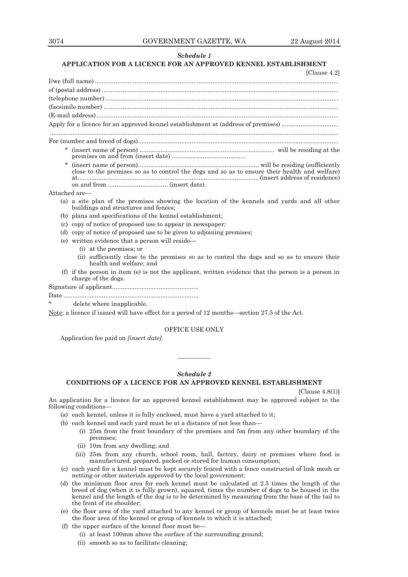## *Schedule 1*

# **APPLICATION FOR A LICENCE FOR AN APPROVED KENNEL ESTABLISHMENT**

| [Clause 4.2]                                                                                                                                                                                                                                                                                                                                                                                                                       |
|------------------------------------------------------------------------------------------------------------------------------------------------------------------------------------------------------------------------------------------------------------------------------------------------------------------------------------------------------------------------------------------------------------------------------------|
|                                                                                                                                                                                                                                                                                                                                                                                                                                    |
|                                                                                                                                                                                                                                                                                                                                                                                                                                    |
| $\label{thm:main} \mbox{(telephone number)}\,\, \ldots\,\, \ldots\,\, \ldots\,\, \ldots\,\, \ldots\,\, \ldots\,\, \ldots\,\, \ldots\,\, \ldots\,\, \ldots\,\, \ldots\,\, \ldots\,\, \ldots\,\, \ldots\,\, \ldots\,\, \ldots\,\, \ldots\,\, \ldots\,\, \ldots\,\, \ldots\,\, \ldots\,\, \ldots\,\, \ldots\,\, \ldots\,\, \ldots\,\, \ldots\,\, \ldots\,\, \ldots\,\, \ldots\,\, \ldots\,\, \ldots\,\, \ldots\,\, \ldots\,\, \ldots$ |
|                                                                                                                                                                                                                                                                                                                                                                                                                                    |
|                                                                                                                                                                                                                                                                                                                                                                                                                                    |
|                                                                                                                                                                                                                                                                                                                                                                                                                                    |
|                                                                                                                                                                                                                                                                                                                                                                                                                                    |
|                                                                                                                                                                                                                                                                                                                                                                                                                                    |
| close to the premises so as to control the dogs and so as to ensure their health and welfare)                                                                                                                                                                                                                                                                                                                                      |

Attached are—

- (a) a site plan of the premises showing the location of the kennels and yards and all other buildings and structures and fences;
- (b) plans and specifications of the kennel establishment;
- (c) copy of notice of proposed use to appear in newspaper;
- (d) copy of notice of proposed use to be given to adjoining premises;
- (e) written evidence that a person will reside—
	- (i) at the premises; or
		- (ii) sufficiently close to the premises so as to control the dogs and so as to ensure their health and welfare; and
- (f) if the person in item (e) is not the applicant, written evidence that the person is a person in charge of the dogs.

Signature of applicant..................................................

Date ..............................................................................

delete where inapplicable.

Note: a licence if issued will have effect for a period of 12 months—section 27.5 of the Act.

# OFFICE USE ONLY

————

Application fee paid on *[insert date]*.

#### *Schedule 2*

## **CONDITIONS OF A LICENCE FOR AN APPROVED KENNEL ESTABLISHMENT**

[Clause 4.8(1)]

An application for a licence for an approved kennel establishment may be approved subject to the following conditions—

- (a) each kennel, unless it is fully enclosed, must have a yard attached to it;
- (b) each kennel and each yard must be at a distance of not less than—
	- (i) 25m from the front boundary of the premises and 5m from any other boundary of the premises;
	- (ii) 10m from any dwelling; and
	- (iii) 25m from any church, school room, hall, factory, dairy or premises where food is manufactured, prepared, packed or stored for human consumption;
- (c) each yard for a kennel must be kept securely fenced with a fence constructed of link mesh or netting or other materials approved by the local government;
- (d) the minimum floor area for each kennel must be calculated at 2.5 times the length of the breed of dog (when it is fully grown), squared, times the number of dogs to be housed in the kennel and the length of the dog is to be determined by measuring from the base of the tail to the front of its shoulder;
- (e) the floor area of the yard attached to any kennel or group of kennels must be at least twice the floor area of the kennel or group of kennels to which it is attached;
- (f) the upper surface of the kennel floor must be—
	- (i) at least 100mm above the surface of the surrounding ground;
	- (ii) smooth so as to facilitate cleaning;